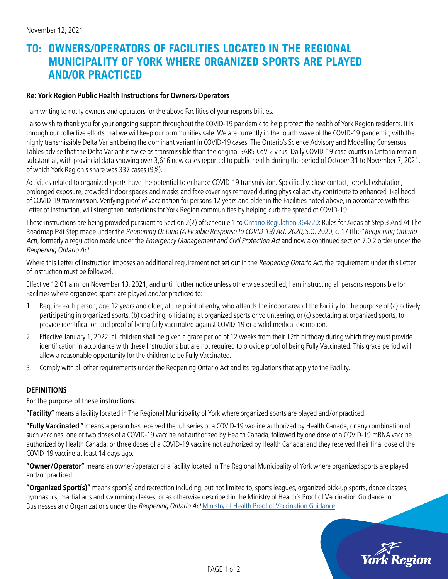## **TO: OWNERS/OPERATORS OF FACILITIES LOCATED IN THE REGIONAL MUNICIPALITY OF YORK WHERE ORGANIZED SPORTS ARE PLAYED AND/OR PRACTICED**

## **Re: York Region Public Health Instructions for Owners/Operators**

I am writing to notify owners and operators for the above Facilities of your responsibilities.

I also wish to thank you for your ongoing support throughout the COVID-19 pandemic to help protect the health of York Region residents. It is through our collective efforts that we will keep our communities safe. We are currently in the fourth wave of the COVID-19 pandemic, with the highly transmissible Delta Variant being the dominant variant in COVID-19 cases. The Ontario's Science Advisory and Modelling Consensus Tables advise that the Delta Variant is twice as transmissible than the original SARS-CoV-2 virus. Daily COVID-19 case counts in Ontario remain substantial, with provincial data showing over 3,616 new cases reported to public health during the period of October 31 to November 7, 2021, of which York Region's share was 337 cases (9%).

Activities related to organized sports have the potential to enhance COVID-19 transmission. Specifically, close contact, forceful exhalation, prolonged exposure, crowded indoor spaces and masks and face coverings removed during physical activity contribute to enhanced likelihood of COVID-19 transmission. Verifying proof of vaccination for persons 12 years and older in the Facilities noted above, in accordance with this Letter of Instruction, will strengthen protections for York Region communities by helping curb the spread of COVID-19.

These instructions are being provided pursuant to Section 2(2) of Schedule 1 to [Ontario Regulation 364/20:](https://www.ontario.ca/laws/regulation/200364#BK7) Rules for Areas at Step 3 And At The Roadmap Exit Step made under the Reopening Ontario (A Flexible Response to COVID-19) Act, 2020, S.O. 2020, c. 17 (the "Reopening Ontario Act), formerly a regulation made under the *Emergency Management and Civil Protection Act* and now a continued section 7.0.2 order under the Reopening Ontario Act.

Where this Letter of Instruction imposes an additional requirement not set out in the Reopening Ontario Act, the requirement under this Letter of Instruction must be followed.

Effective 12:01 a.m. on November 13, 2021, and until further notice unless otherwise specified, I am instructing all persons responsible for Facilities where organized sports are played and/or practiced to:

- 1. Require each person, age 12 years and older, at the point of entry, who attends the indoor area of the Facility for the purpose of (a) actively participating in organized sports, (b) coaching, officiating at organized sports or volunteering, or (c) spectating at organized sports, to provide identification and proof of being fully vaccinated against COVID-19 or a valid medical exemption.
- 2. Effective January 1, 2022, all children shall be given a grace period of 12 weeks from their 12th birthday during which they must provide identification in accordance with these Instructions but are not required to provide proof of being Fully Vaccinated. This grace period will allow a reasonable opportunity for the children to be Fully Vaccinated.
- 3. Comply with all other requirements under the Reopening Ontario Act and its regulations that apply to the Facility.

## **DEFINITIONS**

For the purpose of these instructions:

**"Facility"** means a facility located in The Regional Municipality of York where organized sports are played and/or practiced.

**"Fully Vaccinated "** means a person has received the full series of a COVID-19 vaccine authorized by Health Canada, or any combination of such vaccines, one or two doses of a COVID-19 vaccine not authorized by Health Canada, followed by one dose of a COVID-19 mRNA vaccine authorized by Health Canada, or three doses of a COVID-19 vaccine not authorized by Health Canada; and they received their final dose of the COVID-19 vaccine at least 14 days ago.

**"Owner/Operator"** means an owner/operator of a facility located in The Regional Municipality of York where organized sports are played and/or practiced.

**"Organized Sport(s)"** means sport(s) and recreation including, but not limited to, sports leagues, organized pick-up sports, dance classes, gymnastics, martial arts and swimming classes, or as otherwise described in the Ministry of Health's Proof of Vaccination Guidance for Businesses and Organizations under the Reopening Ontario Act [Ministry of Health Proof of Vaccination Guidance](https://www.health.gov.on.ca/en/pro/programs/publichealth/coronavirus/docs/guidance_proof_of_vaccination_for_businesses_and_organizations.pdf)